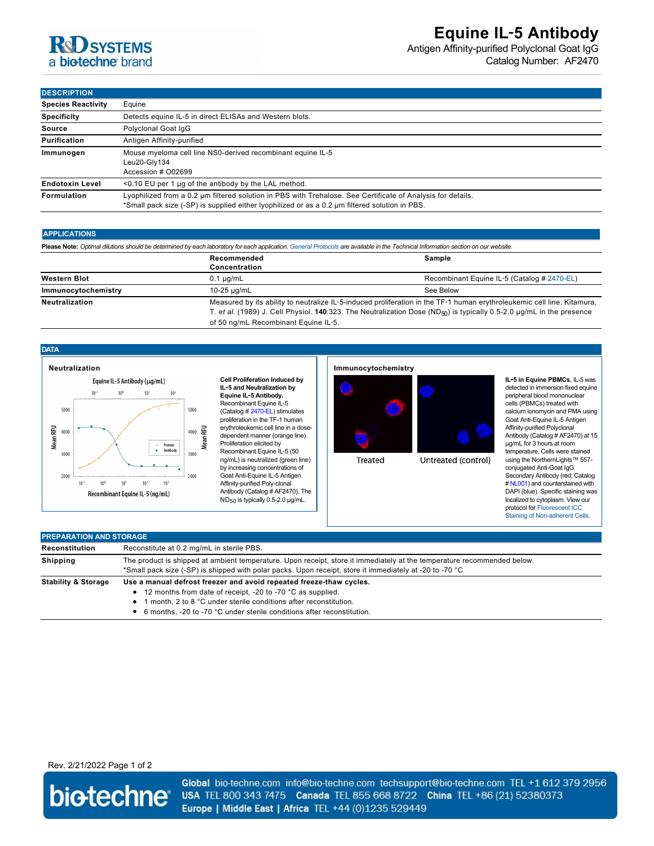# **R&D** SYSTEMS a biotechne brand

Antigen Affinity-purified Polyclonal Goat IgG Catalog Number: AF2470

**DESCRIPTION**

| -------------             |                                                                                                                                                                                                               |  |  |
|---------------------------|---------------------------------------------------------------------------------------------------------------------------------------------------------------------------------------------------------------|--|--|
| <b>Species Reactivity</b> | Equine                                                                                                                                                                                                        |  |  |
| <b>Specificity</b>        | Detects equine IL-5 in direct ELISAs and Western blots.                                                                                                                                                       |  |  |
| Source                    | Polyclonal Goat IqG                                                                                                                                                                                           |  |  |
| Purification              | Antigen Affinity-purified                                                                                                                                                                                     |  |  |
| Immunogen                 | Mouse myeloma cell line NS0-derived recombinant equine IL-5<br>Leu20-Gly134<br>Accession # 002699                                                                                                             |  |  |
| <b>Endotoxin Level</b>    | $\leq$ 0.10 EU per 1 µg of the antibody by the LAL method.                                                                                                                                                    |  |  |
| <b>Formulation</b>        | Lyophilized from a 0.2 um filtered solution in PBS with Trehalose. See Certificate of Analysis for details.<br>*Small pack size (-SP) is supplied either lyophilized or as a 0.2 µm filtered solution in PBS. |  |  |

### **APPLICATIONS**

| Please Note: Optimal dilutions should be determined by each laboratory for each application. General Protocols are available in the Technical Information section on our website. |                                                                                                                                                                                                                                                                                                      |                                             |  |  |  |
|-----------------------------------------------------------------------------------------------------------------------------------------------------------------------------------|------------------------------------------------------------------------------------------------------------------------------------------------------------------------------------------------------------------------------------------------------------------------------------------------------|---------------------------------------------|--|--|--|
|                                                                                                                                                                                   | Recommended<br>Concentration                                                                                                                                                                                                                                                                         | Sample                                      |  |  |  |
| <b>Western Blot</b>                                                                                                                                                               | $0.1 \mu q/mL$                                                                                                                                                                                                                                                                                       | Recombinant Equine IL-5 (Catalog # 2470-EL) |  |  |  |
| Immunocytochemistry                                                                                                                                                               | 10-25 ug/mL                                                                                                                                                                                                                                                                                          | See Below                                   |  |  |  |
| <b>Neutralization</b>                                                                                                                                                             | Measured by its ability to neutralize IL-5-induced proliferation in the TF-1 human erythroleukemic cell line. Kitamura,<br>T. et al. (1989) J. Cell Physiol. 140:323. The Neutralization Dose (ND <sub>50</sub> ) is typically 0.5-2.0 µg/mL in the presence<br>of 50 ng/mL Recombinant Equine IL-5. |                                             |  |  |  |

## **DATA**



**Cell Proliferation Induced by IL**‑**5 and Neutralization by Equine IL**‑**5 Antibody.** Recombinant Equine IL-5 (Catalog # [2470-EL\)](https://www.rndsystems.com/search?keywords=2470-EL) stimulates proliferation in the TF-1 human erythroleukemic cell line in a dosedependent manner (orange line). Proliferation elicited by Recombinant Equine IL-5 (50 ng/mL) is neutralized (green line) by increasing concentrations of Goat Anti-Equine IL-5 Antigen Affinity-purified Poly-clonal Antibody (Catalog # AF2470). The ND<sub>50</sub> is typically 0.5-2.0 µg/mL.

## **Immunocytochemistry**

**Treated** 



Untreated (control)

**IL**‑**5 in Equine PBMCs.** IL-5 was detected in immersion fixed equine peripheral blood mononuclear cells (PBMCs) treated with calcium ionomycin and PMA using Goat Anti-Equine IL-5 Antigen Affinity-purified Polyclonal Antibody (Catalog # AF2470) at 15 µg/mL for 3 hours at room temperature. Cells were stained using the NorthernLights™ 557 conjugated Anti-Goat IgG Secondary Antibody (red; Catalog # [NL001](https://www.rndsystems.com/search?keywords=NL001)) and counterstained with DAPI (blue). Specific staining was localized to cytoplasm. View our protocol for Fluorescent ICC [Staining of Non-adherent Cells](http://www.rndsystems.com/ihc_detail_objectname_fluorescent_icc_non_adherent_cells.aspx).

| <b>PREPARATION AND STORAGE</b> |                                                                                                                                                                                                                                    |  |  |
|--------------------------------|------------------------------------------------------------------------------------------------------------------------------------------------------------------------------------------------------------------------------------|--|--|
| Reconstitution                 | Reconstitute at 0.2 mg/mL in sterile PBS.                                                                                                                                                                                          |  |  |
| Shipping                       | The product is shipped at ambient temperature. Upon receipt, store it immediately at the temperature recommended below.<br>*Small pack size (-SP) is shipped with polar packs. Upon receipt, store it immediately at -20 to -70 °C |  |  |
| <b>Stability &amp; Storage</b> | Use a manual defrost freezer and avoid repeated freeze-thaw cycles.<br>• 12 months from date of receipt, -20 to -70 °C as supplied.<br>• 1 month, 2 to 8 °C under sterile conditions after reconstitution.                         |  |  |

6 months, -20 to -70 °C under sterile conditions after reconstitution.

## Rev. 2/21/2022 Page 1 of 2



Global bio-techne.com info@bio-techne.com techsupport@bio-techne.com TEL +1 612 379 2956 USA TEL 800 343 7475 Canada TEL 855 668 8722 China TEL +86 (21) 52380373 Europe | Middle East | Africa TEL +44 (0)1235 529449